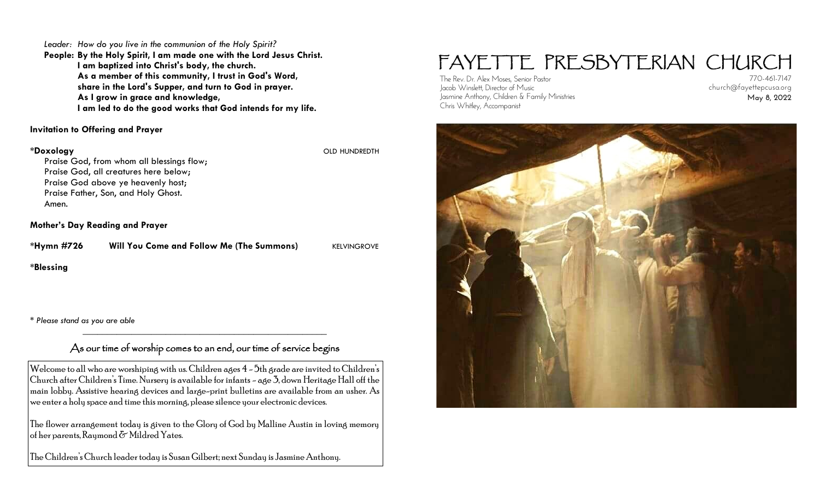*Leader: How do you live in the communion of the Holy Spirit?* **People: By the Holy Spirit, I am made one with the Lord Jesus Christ. I am baptized into Christ's body, the church. As a member of this community, I trust in God's Word, share in the Lord's Supper, and turn to God in prayer. As I grow in grace and knowledge, I am led to do the good works that God intends for my life.**

#### **Invitation to Offering and Prayer**

**\*Doxology** OLD HUNDREDTH

Praise God, from whom all blessings flow; Praise God, all creatures here below; Praise God above ye heavenly host; Praise Father, Son, and Holy Ghost. Amen.

#### **Mother's Day Reading and Prayer**

**\*Hymn #726 Will You Come and Follow Me (The Summons)** KELVINGROVE **\*Blessing**

*\* Please stand as you are able*

### As our time of worship comes to an end, our time of service begins

*\_\_\_\_\_\_\_\_\_\_\_\_\_\_\_\_\_\_\_\_\_\_\_\_\_\_\_\_\_\_\_\_\_\_\_\_\_\_\_\_\_\_\_\_\_\_\_\_\_\_*

Welcome to all who are worshiping with us. Children ages  $4$  -  $5$ th grade are invited to Children's Church after Children's Time. Nursery is available for infants - age 3, down Heritage Hall off the main lobby. Assistive hearing devices and large-print bulletins are available from an usher. As we enter a holy space and time this morning, please silence your electronic devices.

The flower arrangement today is given to the Glory of God by Malline Austin in loving memory of her parents, Raymond  $\delta$ <sup>-</sup> Mildred Yates.

The Children's Church leader today is Susan Gilbert; next Sunday is Jasmine Anthony.

## FAYETTE PRESBYTERIAN CHURCH

The Rev. Dr. Alex Moses, Senior Pastor Jacob Winslett, Director of Music Jasmine Anthony, Children & Family Ministries Chris Whitley, Accompanist

770-461-7147 church@fayettepcusa.org **May 8, 2022**

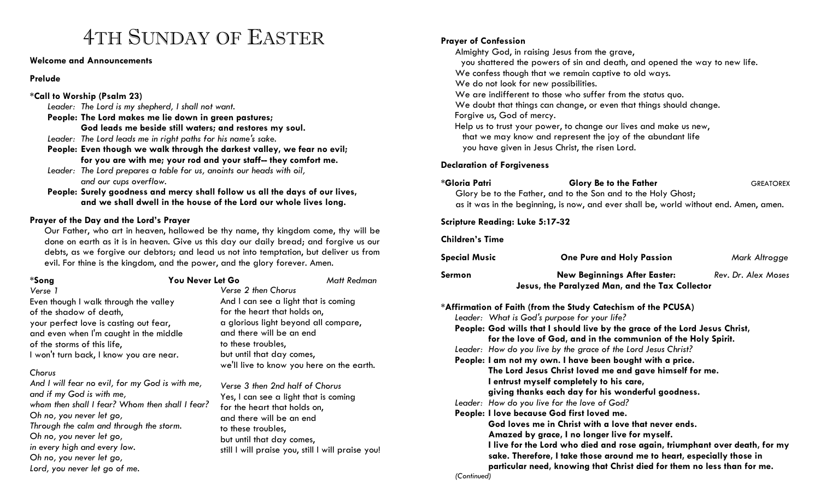# 4TH SUNDAY OF EASTER

#### **Welcome and Announcements**

#### **Prelude**

#### **\*Call to Worship (Psalm 23)** *Leader: The Lord is my shepherd, I shall not want.* **People: The Lord makes me lie down in green pastures; God leads me beside still waters; and restores my soul.**  *Leader: The Lord leads me in right paths for his name's sake.* **People: Even though we walk through the darkest valley, we fear no evil; for you are with me; your rod and your staff-- they comfort me.** *Leader: The Lord prepares a table for us, anoints our heads with oil, and our cups overflow.*

**People: Surely goodness and mercy shall follow us all the days of our lives, and we shall dwell in the house of the Lord our whole lives long.**

#### **Prayer of the Day and the Lord's Prayer**

Our Father, who art in heaven, hallowed be thy name, thy kingdom come, thy will be done on earth as it is in heaven. Give us this day our daily bread; and forgive us our debts, as we forgive our debtors; and lead us not into temptation, but deliver us from evil. For thine is the kingdom, and the power, and the glory forever. Amen.

| *Song                                           | You Never Let Go                                  | Matt Redman                          |  |
|-------------------------------------------------|---------------------------------------------------|--------------------------------------|--|
| Verse 1                                         | Verse 2 then Chorus                               |                                      |  |
| Even though I walk through the valley           | And I can see a light that is coming              |                                      |  |
| of the shadow of death,                         | for the heart that holds on,                      |                                      |  |
| your perfect love is casting out fear,          |                                                   | a glorious light beyond all compare, |  |
| and even when I'm caught in the middle          | and there will be an end                          |                                      |  |
| of the storms of this life,                     | to these troubles,                                |                                      |  |
| I won't turn back, I know you are near.         | but until that day comes,                         |                                      |  |
|                                                 | we'll live to know you here on the earth.         |                                      |  |
| Chorus                                          |                                                   |                                      |  |
| And I will fear no evil, for my God is with me, | Verse 3 then 2nd half of Chorus                   |                                      |  |
| and if my God is with me,                       | Yes, I can see a light that is coming             |                                      |  |
| whom then shall I fear? Whom then shall I fear? | for the heart that holds on,                      |                                      |  |
| Oh no, you never let go,                        | and there will be an end                          |                                      |  |
| Through the calm and through the storm.         | to these troubles,                                |                                      |  |
| Oh no, you never let go,                        | but until that day comes,                         |                                      |  |
| in every high and every low.                    | still I will praise you, still I will praise you! |                                      |  |
| Oh no, you never let go,                        |                                                   |                                      |  |
| Lord, you never let go of me.                   |                                                   |                                      |  |

#### **Prayer of Confession**

Almighty God, in raising Jesus from the grave,

you shattered the powers of sin and death, and opened the way to new life.

We confess though that we remain captive to old ways.

We do not look for new possibilities.

We are indifferent to those who suffer from the status quo.

We doubt that things can change, or even that things should change.

Forgive us, God of mercy.

Help us to trust your power, to change our lives and make us new, that we may know and represent the joy of the abundant life you have given in Jesus Christ, the risen Lord.

#### **Declaration of Forgiveness**

| *Gloria Patri | Glory Be to the Father                                                                | <b>GREATOREX</b> |
|---------------|---------------------------------------------------------------------------------------|------------------|
|               | Glory be to the Father, and to the Son and to the Holy Ghost;                         |                  |
|               | as it was in the beginning, is now, and ever shall be, world without end. Amen, amen. |                  |

#### **Scripture Reading: Luke 5:17-32**

**Children's Time** 

| <b>Special Music</b> | <b>One Pure and Holy Passion</b>                                                                                | Mark Altrogge       |
|----------------------|-----------------------------------------------------------------------------------------------------------------|---------------------|
| <b>Sermon</b>        | <b>New Beginnings After Easter:</b><br>Jesus, the Paralyzed Man, and the Tax Collector                          | Rev. Dr. Alex Moses |
|                      | *Affirmation of Faith (from the Study Catechism of the PCUSA)<br>$Longor, What is God's purpose for your life?$ |                     |

*Leader: What is God's purpose for your life?* **People: God wills that I should live by the grace of the Lord Jesus Christ, for the love of God, and in the communion of the Holy Spirit.**  *Leader: How do you live by the grace of the Lord Jesus Christ?*

**People: I am not my own. I have been bought with a price. The Lord Jesus Christ loved me and gave himself for me.** 

**I entrust myself completely to his care,** 

**giving thanks each day for his wonderful goodness.** 

*Leader: How do you live for the love of God?*

**People: I love because God first loved me.** 

**God loves me in Christ with a love that never ends.** 

**Amazed by grace, I no longer live for myself.** 

**I live for the Lord who died and rose again, triumphant over death, for my sake. Therefore, I take those around me to heart, especially those in** 

**particular need, knowing that Christ died for them no less than for me.**